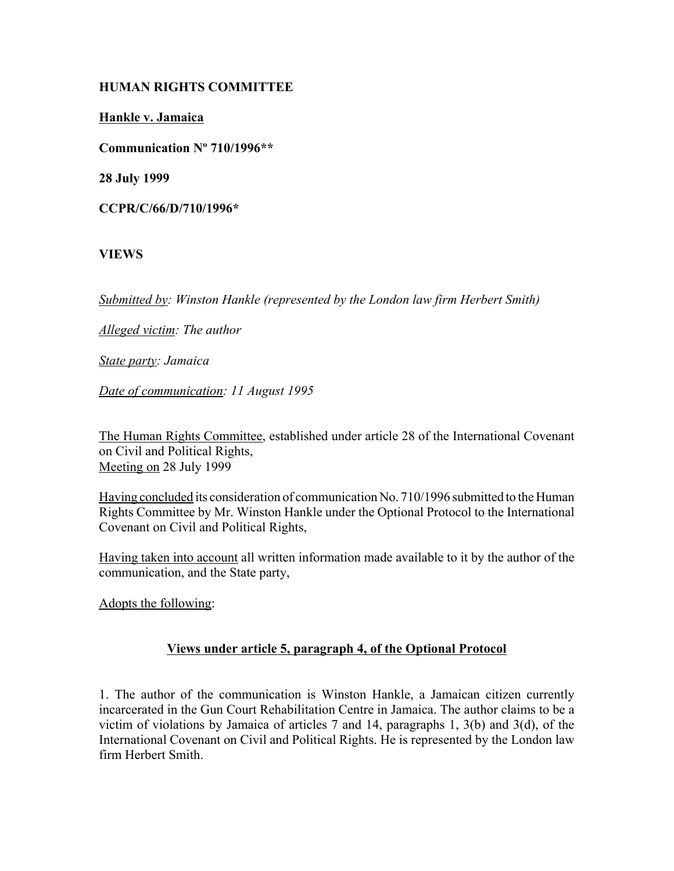## **HUMAN RIGHTS COMMITTEE**

**Hankle v. Jamaica**

**Communication Nº 710/1996\*\***

**28 July 1999**

**CCPR/C/66/D/710/1996\***

## **VIEWS**

*Submitted by: Winston Hankle (represented by the London law firm Herbert Smith)* 

*Alleged victim: The author* 

*State party: Jamaica* 

*Date of communication: 11 August 1995* 

The Human Rights Committee, established under article 28 of the International Covenant on Civil and Political Rights, Meeting on 28 July 1999

Having concluded its consideration of communication No. 710/1996 submitted to the Human Rights Committee by Mr. Winston Hankle under the Optional Protocol to the International Covenant on Civil and Political Rights,

Having taken into account all written information made available to it by the author of the communication, and the State party,

Adopts the following:

## **Views under article 5, paragraph 4, of the Optional Protocol**

1. The author of the communication is Winston Hankle, a Jamaican citizen currently incarcerated in the Gun Court Rehabilitation Centre in Jamaica. The author claims to be a victim of violations by Jamaica of articles 7 and 14, paragraphs 1, 3(b) and 3(d), of the International Covenant on Civil and Political Rights. He is represented by the London law firm Herbert Smith.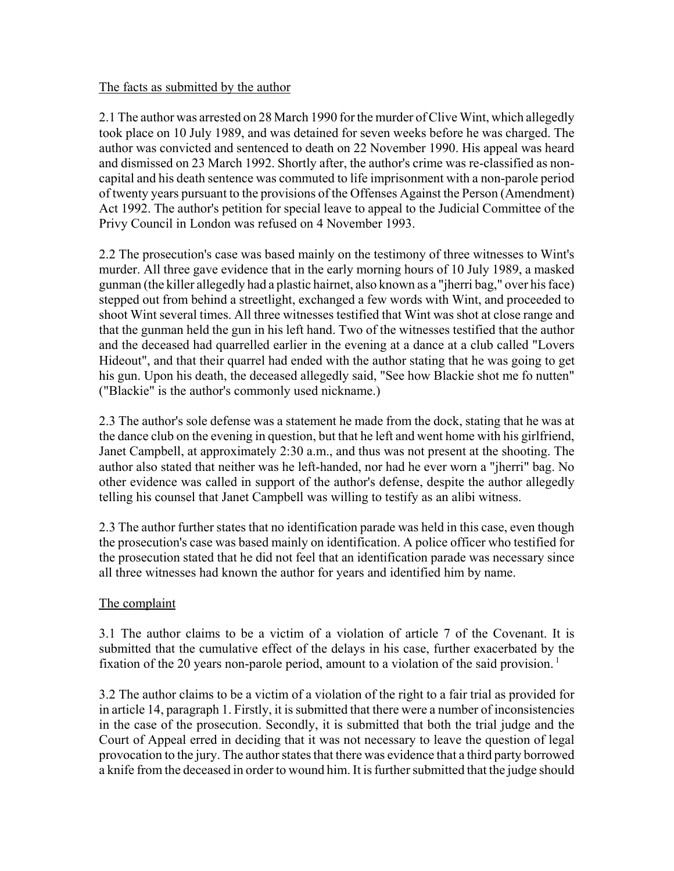#### The facts as submitted by the author

2.1 The author was arrested on 28 March 1990 for the murder of Clive Wint, which allegedly took place on 10 July 1989, and was detained for seven weeks before he was charged. The author was convicted and sentenced to death on 22 November 1990. His appeal was heard and dismissed on 23 March 1992. Shortly after, the author's crime was re-classified as noncapital and his death sentence was commuted to life imprisonment with a non-parole period of twenty years pursuant to the provisions of the Offenses Against the Person (Amendment) Act 1992. The author's petition for special leave to appeal to the Judicial Committee of the Privy Council in London was refused on 4 November 1993.

2.2 The prosecution's case was based mainly on the testimony of three witnesses to Wint's murder. All three gave evidence that in the early morning hours of 10 July 1989, a masked gunman (the killer allegedly had a plastic hairnet, also known as a "jherri bag," over his face) stepped out from behind a streetlight, exchanged a few words with Wint, and proceeded to shoot Wint several times. All three witnesses testified that Wint was shot at close range and that the gunman held the gun in his left hand. Two of the witnesses testified that the author and the deceased had quarrelled earlier in the evening at a dance at a club called "Lovers Hideout", and that their quarrel had ended with the author stating that he was going to get his gun. Upon his death, the deceased allegedly said, "See how Blackie shot me fo nutten" ("Blackie" is the author's commonly used nickname.)

2.3 The author's sole defense was a statement he made from the dock, stating that he was at the dance club on the evening in question, but that he left and went home with his girlfriend, Janet Campbell, at approximately 2:30 a.m., and thus was not present at the shooting. The author also stated that neither was he left-handed, nor had he ever worn a "jherri" bag. No other evidence was called in support of the author's defense, despite the author allegedly telling his counsel that Janet Campbell was willing to testify as an alibi witness.

2.3 The author further states that no identification parade was held in this case, even though the prosecution's case was based mainly on identification. A police officer who testified for the prosecution stated that he did not feel that an identification parade was necessary since all three witnesses had known the author for years and identified him by name.

## The complaint

3.1 The author claims to be a victim of a violation of article 7 of the Covenant. It is submitted that the cumulative effect of the delays in his case, further exacerbated by the fixation of the 20 years non-parole period, amount to a violation of the said provision.<sup>1</sup>

3.2 The author claims to be a victim of a violation of the right to a fair trial as provided for in article 14, paragraph 1. Firstly, it is submitted that there were a number of inconsistencies in the case of the prosecution. Secondly, it is submitted that both the trial judge and the Court of Appeal erred in deciding that it was not necessary to leave the question of legal provocation to the jury. The author states that there was evidence that a third party borrowed a knife from the deceased in order to wound him. It is further submitted that the judge should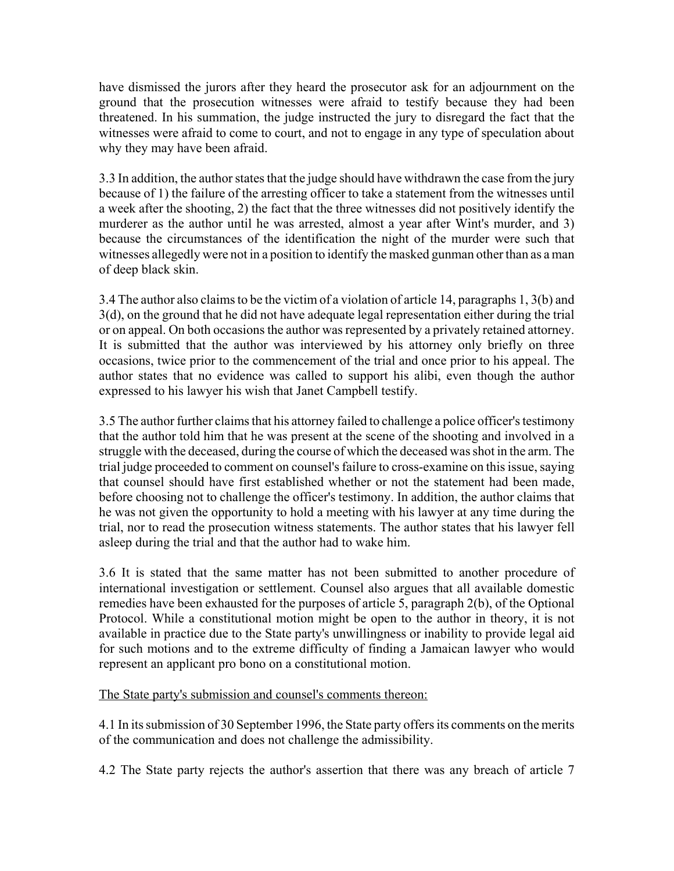have dismissed the jurors after they heard the prosecutor ask for an adjournment on the ground that the prosecution witnesses were afraid to testify because they had been threatened. In his summation, the judge instructed the jury to disregard the fact that the witnesses were afraid to come to court, and not to engage in any type of speculation about why they may have been afraid.

3.3 In addition, the author states that the judge should have withdrawn the case from the jury because of 1) the failure of the arresting officer to take a statement from the witnesses until a week after the shooting, 2) the fact that the three witnesses did not positively identify the murderer as the author until he was arrested, almost a year after Wint's murder, and 3) because the circumstances of the identification the night of the murder were such that witnesses allegedly were not in a position to identify the masked gunman other than as a man of deep black skin.

3.4 The author also claims to be the victim of a violation of article 14, paragraphs 1, 3(b) and 3(d), on the ground that he did not have adequate legal representation either during the trial or on appeal. On both occasions the author was represented by a privately retained attorney. It is submitted that the author was interviewed by his attorney only briefly on three occasions, twice prior to the commencement of the trial and once prior to his appeal. The author states that no evidence was called to support his alibi, even though the author expressed to his lawyer his wish that Janet Campbell testify.

3.5 The author further claims that his attorney failed to challenge a police officer's testimony that the author told him that he was present at the scene of the shooting and involved in a struggle with the deceased, during the course of which the deceased was shot in the arm. The trial judge proceeded to comment on counsel's failure to cross-examine on this issue, saying that counsel should have first established whether or not the statement had been made, before choosing not to challenge the officer's testimony. In addition, the author claims that he was not given the opportunity to hold a meeting with his lawyer at any time during the trial, nor to read the prosecution witness statements. The author states that his lawyer fell asleep during the trial and that the author had to wake him.

3.6 It is stated that the same matter has not been submitted to another procedure of international investigation or settlement. Counsel also argues that all available domestic remedies have been exhausted for the purposes of article 5, paragraph 2(b), of the Optional Protocol. While a constitutional motion might be open to the author in theory, it is not available in practice due to the State party's unwillingness or inability to provide legal aid for such motions and to the extreme difficulty of finding a Jamaican lawyer who would represent an applicant pro bono on a constitutional motion.

The State party's submission and counsel's comments thereon:

4.1 In its submission of 30 September 1996, the State party offers its comments on the merits of the communication and does not challenge the admissibility.

4.2 The State party rejects the author's assertion that there was any breach of article 7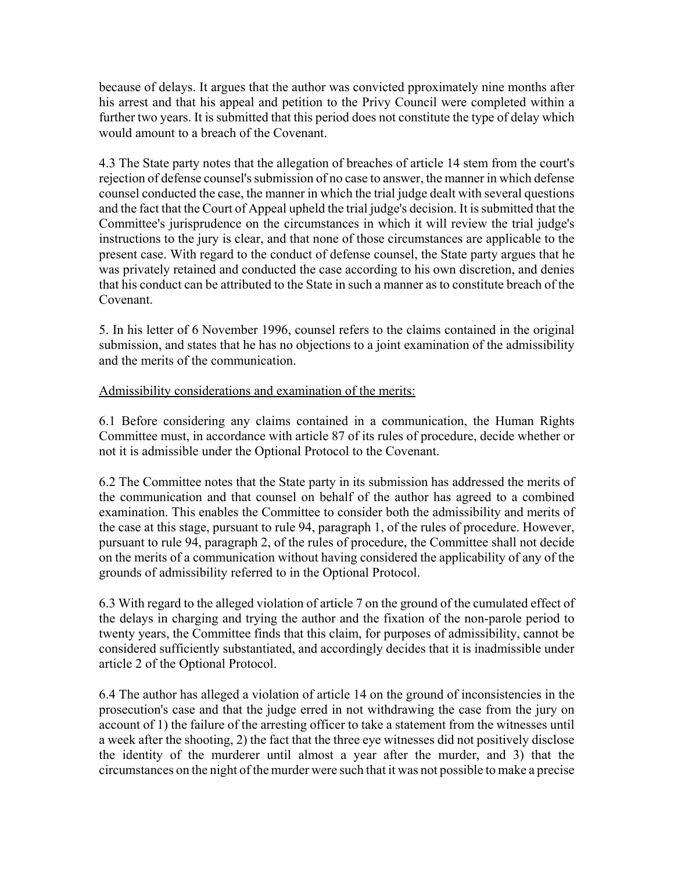because of delays. It argues that the author was convicted pproximately nine months after his arrest and that his appeal and petition to the Privy Council were completed within a further two years. It is submitted that this period does not constitute the type of delay which would amount to a breach of the Covenant.

4.3 The State party notes that the allegation of breaches of article 14 stem from the court's rejection of defense counsel's submission of no case to answer, the manner in which defense counsel conducted the case, the manner in which the trial judge dealt with several questions and the fact that the Court of Appeal upheld the trial judge's decision. It is submitted that the Committee's jurisprudence on the circumstances in which it will review the trial judge's instructions to the jury is clear, and that none of those circumstances are applicable to the present case. With regard to the conduct of defense counsel, the State party argues that he was privately retained and conducted the case according to his own discretion, and denies that his conduct can be attributed to the State in such a manner as to constitute breach of the Covenant.

5. In his letter of 6 November 1996, counsel refers to the claims contained in the original submission, and states that he has no objections to a joint examination of the admissibility and the merits of the communication.

#### Admissibility considerations and examination of the merits:

6.1 Before considering any claims contained in a communication, the Human Rights Committee must, in accordance with article 87 of its rules of procedure, decide whether or not it is admissible under the Optional Protocol to the Covenant.

6.2 The Committee notes that the State party in its submission has addressed the merits of the communication and that counsel on behalf of the author has agreed to a combined examination. This enables the Committee to consider both the admissibility and merits of the case at this stage, pursuant to rule 94, paragraph 1, of the rules of procedure. However, pursuant to rule 94, paragraph 2, of the rules of procedure, the Committee shall not decide on the merits of a communication without having considered the applicability of any of the grounds of admissibility referred to in the Optional Protocol.

6.3 With regard to the alleged violation of article 7 on the ground of the cumulated effect of the delays in charging and trying the author and the fixation of the non-parole period to twenty years, the Committee finds that this claim, for purposes of admissibility, cannot be considered sufficiently substantiated, and accordingly decides that it is inadmissible under article 2 of the Optional Protocol.

6.4 The author has alleged a violation of article 14 on the ground of inconsistencies in the prosecution's case and that the judge erred in not withdrawing the case from the jury on account of 1) the failure of the arresting officer to take a statement from the witnesses until a week after the shooting, 2) the fact that the three eye witnesses did not positively disclose the identity of the murderer until almost a year after the murder, and 3) that the circumstances on the night of the murder were such that it was not possible to make a precise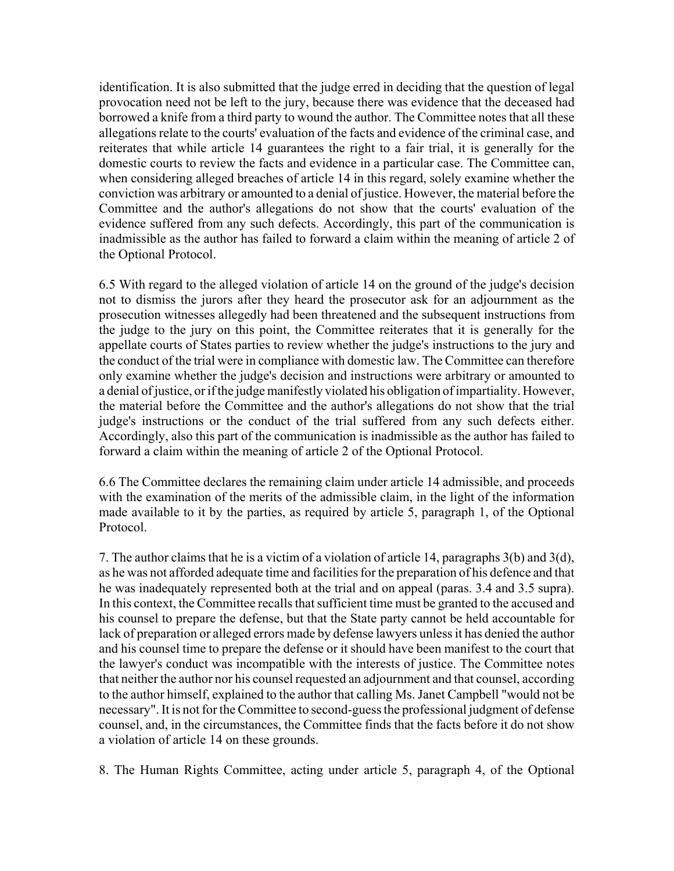identification. It is also submitted that the judge erred in deciding that the question of legal provocation need not be left to the jury, because there was evidence that the deceased had borrowed a knife from a third party to wound the author. The Committee notes that all these allegations relate to the courts' evaluation of the facts and evidence of the criminal case, and reiterates that while article 14 guarantees the right to a fair trial, it is generally for the domestic courts to review the facts and evidence in a particular case. The Committee can, when considering alleged breaches of article 14 in this regard, solely examine whether the conviction was arbitrary or amounted to a denial of justice. However, the material before the Committee and the author's allegations do not show that the courts' evaluation of the evidence suffered from any such defects. Accordingly, this part of the communication is inadmissible as the author has failed to forward a claim within the meaning of article 2 of the Optional Protocol.

6.5 With regard to the alleged violation of article 14 on the ground of the judge's decision not to dismiss the jurors after they heard the prosecutor ask for an adjournment as the prosecution witnesses allegedly had been threatened and the subsequent instructions from the judge to the jury on this point, the Committee reiterates that it is generally for the appellate courts of States parties to review whether the judge's instructions to the jury and the conduct of the trial were in compliance with domestic law. The Committee can therefore only examine whether the judge's decision and instructions were arbitrary or amounted to a denial of justice, or if the judge manifestly violated his obligation of impartiality. However, the material before the Committee and the author's allegations do not show that the trial judge's instructions or the conduct of the trial suffered from any such defects either. Accordingly, also this part of the communication is inadmissible as the author has failed to forward a claim within the meaning of article 2 of the Optional Protocol.

6.6 The Committee declares the remaining claim under article 14 admissible, and proceeds with the examination of the merits of the admissible claim, in the light of the information made available to it by the parties, as required by article 5, paragraph 1, of the Optional Protocol.

7. The author claims that he is a victim of a violation of article 14, paragraphs 3(b) and 3(d), as he was not afforded adequate time and facilities for the preparation of his defence and that he was inadequately represented both at the trial and on appeal (paras. 3.4 and 3.5 supra). In this context, the Committee recalls that sufficient time must be granted to the accused and his counsel to prepare the defense, but that the State party cannot be held accountable for lack of preparation or alleged errors made by defense lawyers unless it has denied the author and his counsel time to prepare the defense or it should have been manifest to the court that the lawyer's conduct was incompatible with the interests of justice. The Committee notes that neither the author nor his counsel requested an adjournment and that counsel, according to the author himself, explained to the author that calling Ms. Janet Campbell "would not be necessary". It is not for the Committee to second-guess the professional judgment of defense counsel, and, in the circumstances, the Committee finds that the facts before it do not show a violation of article 14 on these grounds.

8. The Human Rights Committee, acting under article 5, paragraph 4, of the Optional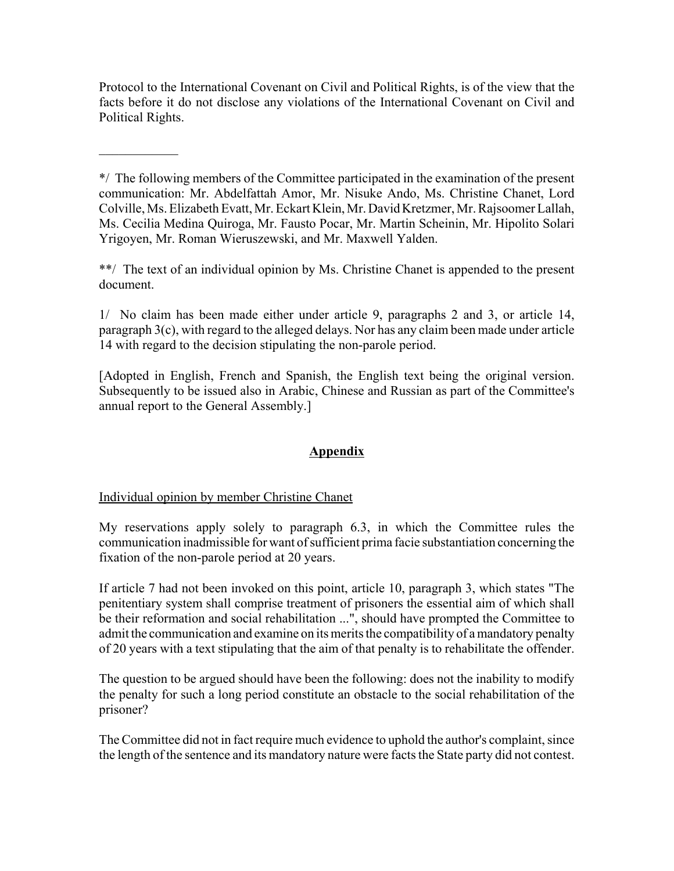Protocol to the International Covenant on Civil and Political Rights, is of the view that the facts before it do not disclose any violations of the International Covenant on Civil and Political Rights.

\*/ The following members of the Committee participated in the examination of the present communication: Mr. Abdelfattah Amor, Mr. Nisuke Ando, Ms. Christine Chanet, Lord Colville, Ms. Elizabeth Evatt, Mr. Eckart Klein, Mr. David Kretzmer, Mr. Rajsoomer Lallah, Ms. Cecilia Medina Quiroga, Mr. Fausto Pocar, Mr. Martin Scheinin, Mr. Hipolito Solari Yrigoyen, Mr. Roman Wieruszewski, and Mr. Maxwell Yalden.

\*\*/ The text of an individual opinion by Ms. Christine Chanet is appended to the present document.

1/ No claim has been made either under article 9, paragraphs 2 and 3, or article 14, paragraph 3(c), with regard to the alleged delays. Nor has any claim been made under article 14 with regard to the decision stipulating the non-parole period.

[Adopted in English, French and Spanish, the English text being the original version. Subsequently to be issued also in Arabic, Chinese and Russian as part of the Committee's annual report to the General Assembly.]

# **Appendix**

# Individual opinion by member Christine Chanet

 $\frac{1}{2}$ 

My reservations apply solely to paragraph 6.3, in which the Committee rules the communication inadmissible for want of sufficient prima facie substantiation concerning the fixation of the non-parole period at 20 years.

If article 7 had not been invoked on this point, article 10, paragraph 3, which states "The penitentiary system shall comprise treatment of prisoners the essential aim of which shall be their reformation and social rehabilitation ...", should have prompted the Committee to admit the communication and examine on its merits the compatibility of a mandatory penalty of 20 years with a text stipulating that the aim of that penalty is to rehabilitate the offender.

The question to be argued should have been the following: does not the inability to modify the penalty for such a long period constitute an obstacle to the social rehabilitation of the prisoner?

The Committee did not in fact require much evidence to uphold the author's complaint, since the length of the sentence and its mandatory nature were facts the State party did not contest.